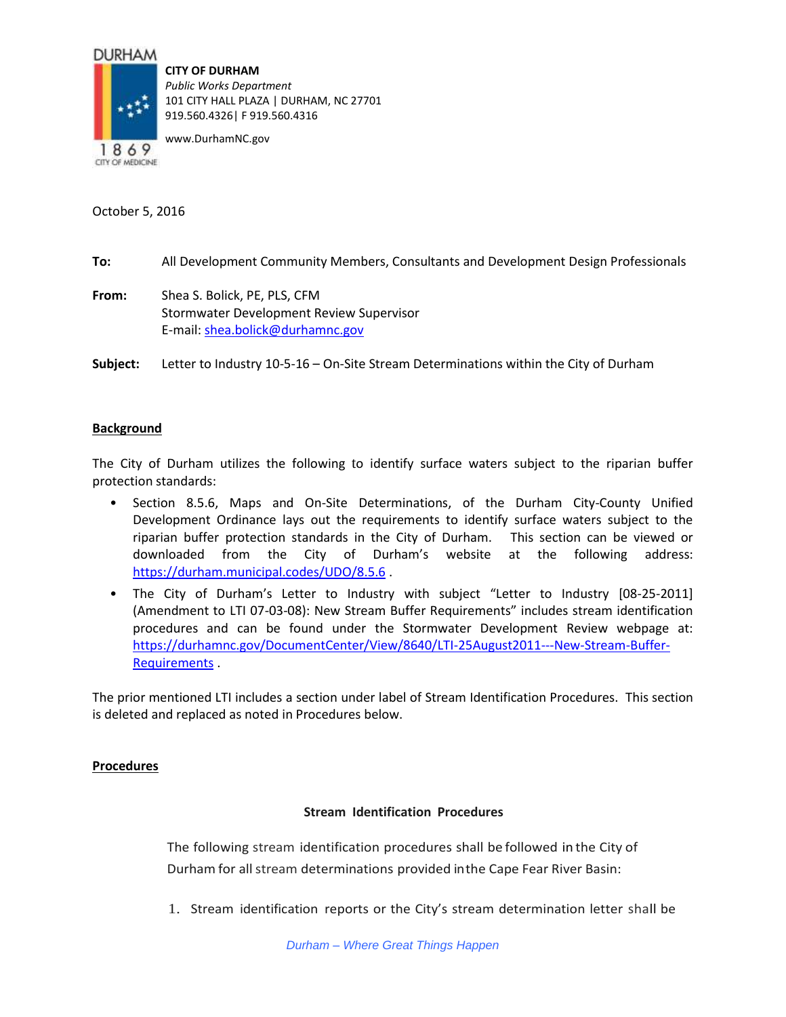## **DURHAM**



**CITY OF DURHAM** *Public Works Department* 101 CITY HALL PLAZA | DURHAM, NC 27701 919.560.4326| F 919.560.4316

www.DurhamNC.gov

October 5, 2016

- **To:** All Development Community Members, Consultants and Development Design Professionals
- **From:** Shea S. Bolick, PE, PLS, CFM Stormwater Development Review Supervisor E-mail: [shea.bolick@durhamnc.gov](mailto:shea.bolick@durhamnc.gov)
- **Subject:** Letter to Industry 10-5-16 On-Site Stream Determinations within the City of Durham

# **Background**

The City of Durham utilizes the following to identify surface waters subject to the riparian buffer protection standards:

- Section 8.5.6, Maps and On-Site Determinations, of the Durham City-County Unified Development Ordinance lays out the requirements to identify surface waters subject to the riparian buffer protection standards in the City of Durham. This section can be viewed or downloaded from the City of Durham's website at the following address: <https://durham.municipal.codes/UDO/8.5.6> .
- The City of Durham's Letter to Industry with subject "Letter to Industry [08-25-2011] (Amendment to LTI 07-03-08): New Stream Buffer Requirements" includes stream identification procedures and can be found under the Stormwater Development Review webpage at: [https://durhamnc.gov/DocumentCenter/View/8640/LTI-25August2011---New-Stream-Buffer-](https://durhamnc.gov/DocumentCenter/View/8640/LTI-25August2011---New-Stream-Buffer-Requirements)[Requirements](https://durhamnc.gov/DocumentCenter/View/8640/LTI-25August2011---New-Stream-Buffer-Requirements) .

The prior mentioned LTI includes a section under label of Stream Identification Procedures. This section is deleted and replaced as noted in Procedures below.

## **Procedures**

## **Stream Identification Procedures**

The following stream identification procedures shall be followed in the City of Durham for all stream determinations provided inthe Cape Fear River Basin:

1. Stream identification reports or the City's stream determination letter shall be